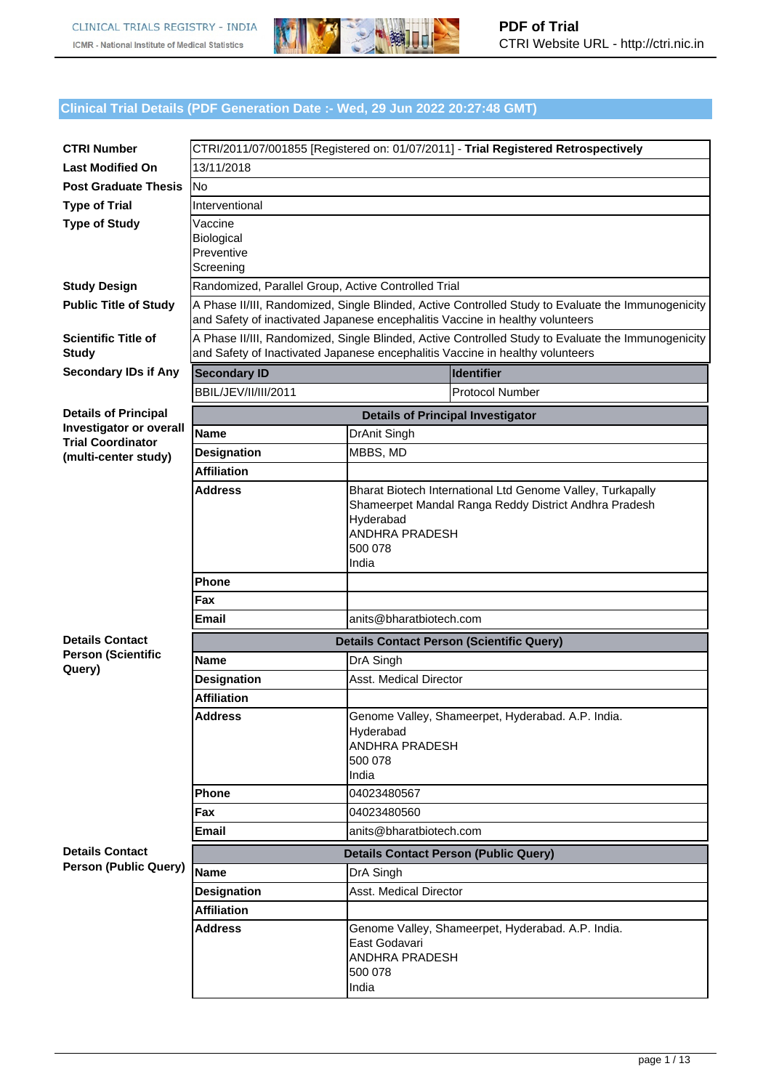

## **Clinical Trial Details (PDF Generation Date :- Wed, 29 Jun 2022 20:27:48 GMT)**

| <b>CTRI Number</b>                                     |                                                                               |                                 | CTRI/2011/07/001855 [Registered on: 01/07/2011] - Trial Registered Retrospectively                 |
|--------------------------------------------------------|-------------------------------------------------------------------------------|---------------------------------|----------------------------------------------------------------------------------------------------|
| <b>Last Modified On</b>                                | 13/11/2018                                                                    |                                 |                                                                                                    |
| <b>Post Graduate Thesis</b>                            | No                                                                            |                                 |                                                                                                    |
| <b>Type of Trial</b>                                   | Interventional                                                                |                                 |                                                                                                    |
| <b>Type of Study</b>                                   | Vaccine                                                                       |                                 |                                                                                                    |
|                                                        | <b>Biological</b>                                                             |                                 |                                                                                                    |
|                                                        | Preventive<br>Screening                                                       |                                 |                                                                                                    |
| <b>Study Design</b>                                    | Randomized, Parallel Group, Active Controlled Trial                           |                                 |                                                                                                    |
| <b>Public Title of Study</b>                           |                                                                               |                                 | A Phase II/III, Randomized, Single Blinded, Active Controlled Study to Evaluate the Immunogenicity |
|                                                        | and Safety of inactivated Japanese encephalitis Vaccine in healthy volunteers |                                 |                                                                                                    |
| <b>Scientific Title of</b><br><b>Study</b>             | and Safety of Inactivated Japanese encephalitis Vaccine in healthy volunteers |                                 | A Phase II/III, Randomized, Single Blinded, Active Controlled Study to Evaluate the Immunogenicity |
| <b>Secondary IDs if Any</b>                            | <b>Secondary ID</b>                                                           |                                 | <b>Identifier</b>                                                                                  |
|                                                        | BBIL/JEV/II/III/2011                                                          |                                 | <b>Protocol Number</b>                                                                             |
| <b>Details of Principal</b>                            |                                                                               |                                 | <b>Details of Principal Investigator</b>                                                           |
| <b>Investigator or overall</b>                         | <b>Name</b>                                                                   | DrAnit Singh                    |                                                                                                    |
| <b>Trial Coordinator</b><br>(multi-center study)       | <b>Designation</b>                                                            | MBBS, MD                        |                                                                                                    |
|                                                        | <b>Affiliation</b>                                                            |                                 |                                                                                                    |
|                                                        | <b>Address</b>                                                                |                                 | Bharat Biotech International Ltd Genome Valley, Turkapally                                         |
|                                                        |                                                                               |                                 | Shameerpet Mandal Ranga Reddy District Andhra Pradesh                                              |
|                                                        |                                                                               | Hyderabad<br>ANDHRA PRADESH     |                                                                                                    |
|                                                        |                                                                               | 500 078                         |                                                                                                    |
|                                                        |                                                                               | India                           |                                                                                                    |
|                                                        | <b>Phone</b>                                                                  |                                 |                                                                                                    |
|                                                        | Fax                                                                           |                                 |                                                                                                    |
|                                                        | Email                                                                         | anits@bharatbiotech.com         |                                                                                                    |
| <b>Details Contact</b><br><b>Person (Scientific</b>    |                                                                               |                                 | <b>Details Contact Person (Scientific Query)</b>                                                   |
| Query)                                                 | <b>Name</b>                                                                   | DrA Singh                       |                                                                                                    |
|                                                        | <b>Designation</b>                                                            | <b>Asst. Medical Director</b>   |                                                                                                    |
|                                                        | <b>Affiliation</b>                                                            |                                 |                                                                                                    |
|                                                        | Address                                                                       | Hyderabad                       | Genome Valley, Shameerpet, Hyderabad. A.P. India.                                                  |
|                                                        |                                                                               | ANDHRA PRADESH                  |                                                                                                    |
|                                                        |                                                                               | 500 078                         |                                                                                                    |
|                                                        |                                                                               | India                           |                                                                                                    |
|                                                        | <b>Phone</b>                                                                  | 04023480567                     |                                                                                                    |
|                                                        | Fax                                                                           | 04023480560                     |                                                                                                    |
|                                                        | Email                                                                         | anits@bharatbiotech.com         |                                                                                                    |
| <b>Details Contact</b><br><b>Person (Public Query)</b> |                                                                               |                                 | <b>Details Contact Person (Public Query)</b>                                                       |
|                                                        | <b>Name</b>                                                                   | DrA Singh                       |                                                                                                    |
|                                                        | <b>Designation</b>                                                            | <b>Asst. Medical Director</b>   |                                                                                                    |
|                                                        | <b>Affiliation</b>                                                            |                                 |                                                                                                    |
|                                                        | <b>Address</b>                                                                |                                 | Genome Valley, Shameerpet, Hyderabad. A.P. India.                                                  |
|                                                        |                                                                               | East Godavari<br>ANDHRA PRADESH |                                                                                                    |
|                                                        |                                                                               | 500 078                         |                                                                                                    |
|                                                        |                                                                               | India                           |                                                                                                    |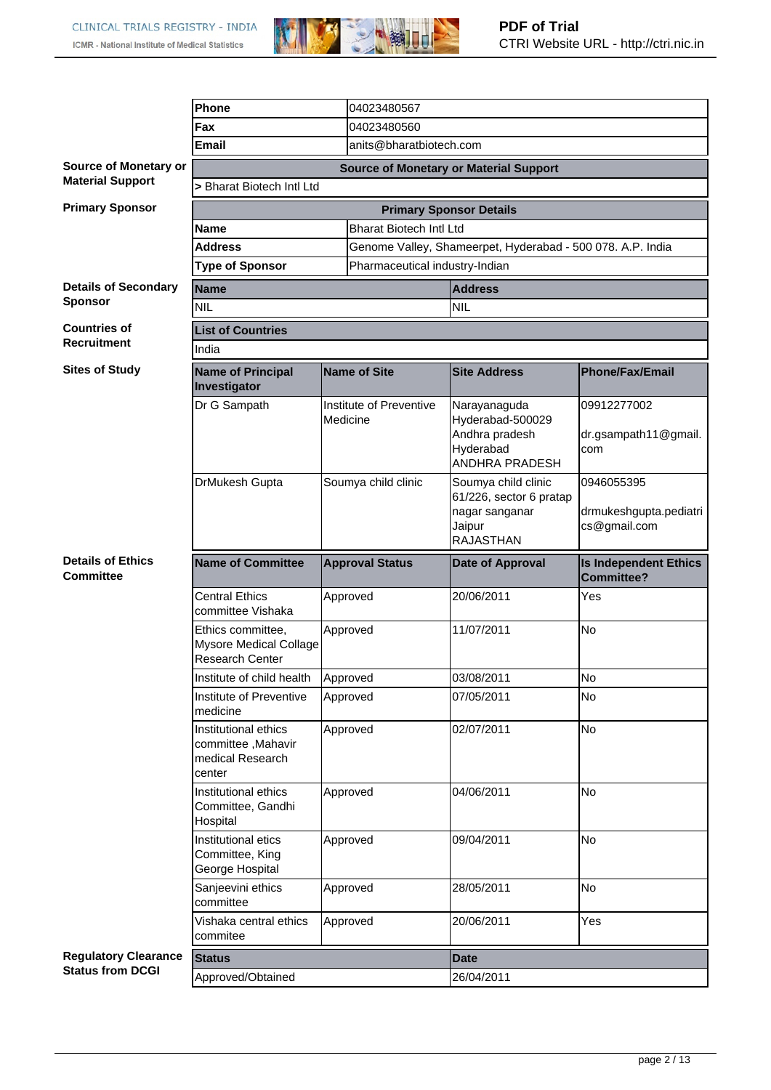

|                                                        | Phone                                                                    |                                     | 04023480567                    |                                                                                   |                                                      |  |  |
|--------------------------------------------------------|--------------------------------------------------------------------------|-------------------------------------|--------------------------------|-----------------------------------------------------------------------------------|------------------------------------------------------|--|--|
|                                                        | Fax                                                                      |                                     | 04023480560                    |                                                                                   |                                                      |  |  |
|                                                        | <b>Email</b>                                                             |                                     | anits@bharatbiotech.com        |                                                                                   |                                                      |  |  |
| Source of Monetary or                                  |                                                                          |                                     |                                | <b>Source of Monetary or Material Support</b>                                     |                                                      |  |  |
| <b>Material Support</b>                                | > Bharat Biotech Intl Ltd                                                |                                     |                                |                                                                                   |                                                      |  |  |
| <b>Primary Sponsor</b>                                 |                                                                          |                                     |                                | <b>Primary Sponsor Details</b>                                                    |                                                      |  |  |
|                                                        | <b>Bharat Biotech Intl Ltd</b><br><b>Name</b>                            |                                     |                                |                                                                                   |                                                      |  |  |
|                                                        | <b>Address</b>                                                           |                                     |                                | Genome Valley, Shameerpet, Hyderabad - 500 078. A.P. India                        |                                                      |  |  |
|                                                        | <b>Type of Sponsor</b>                                                   |                                     | Pharmaceutical industry-Indian |                                                                                   |                                                      |  |  |
| <b>Details of Secondary</b>                            | <b>Name</b>                                                              |                                     |                                | <b>Address</b>                                                                    |                                                      |  |  |
| <b>Sponsor</b>                                         | <b>NIL</b>                                                               |                                     |                                | <b>NIL</b>                                                                        |                                                      |  |  |
| <b>Countries of</b>                                    | <b>List of Countries</b>                                                 |                                     |                                |                                                                                   |                                                      |  |  |
| <b>Recruitment</b>                                     | India                                                                    |                                     |                                |                                                                                   |                                                      |  |  |
| <b>Sites of Study</b>                                  | <b>Name of Principal</b><br>Investigator                                 |                                     | Name of Site                   | <b>Site Address</b>                                                               | <b>Phone/Fax/Email</b>                               |  |  |
|                                                        | Dr G Sampath                                                             | Institute of Preventive<br>Medicine |                                | Narayanaguda<br>Hyderabad-500029<br>Andhra pradesh<br>Hyderabad<br>ANDHRA PRADESH | 09912277002<br>dr.gsampath11@gmail.<br>com           |  |  |
|                                                        | DrMukesh Gupta                                                           | Soumya child clinic                 |                                | Soumya child clinic<br>61/226, sector 6 pratap<br>nagar sanganar<br>Jaipur        | 0946055395<br>drmukeshgupta.pediatri<br>cs@gmail.com |  |  |
|                                                        |                                                                          |                                     |                                | <b>RAJASTHAN</b>                                                                  |                                                      |  |  |
| <b>Details of Ethics</b><br><b>Committee</b>           | <b>Name of Committee</b>                                                 |                                     | <b>Approval Status</b>         | Date of Approval                                                                  | <b>Is Independent Ethics</b><br><b>Committee?</b>    |  |  |
|                                                        | <b>Central Ethics</b><br>committee Vishaka                               |                                     | Approved                       | 20/06/2011                                                                        | Yes                                                  |  |  |
|                                                        | Ethics committee,<br><b>Mysore Medical Collage</b><br>Research Center    |                                     | Approved                       | 11/07/2011                                                                        | <b>No</b>                                            |  |  |
|                                                        | Institute of child health                                                |                                     | Approved                       | 03/08/2011                                                                        | No                                                   |  |  |
|                                                        | Institute of Preventive<br>medicine                                      |                                     | Approved                       | 07/05/2011                                                                        | No                                                   |  |  |
|                                                        | Institutional ethics<br>committee, Mahavir<br>medical Research<br>center |                                     | Approved                       | 02/07/2011                                                                        | No                                                   |  |  |
|                                                        | Institutional ethics<br>Committee, Gandhi<br>Hospital                    |                                     | Approved                       | 04/06/2011                                                                        | No.                                                  |  |  |
|                                                        | Institutional etics<br>Committee, King<br>George Hospital                |                                     | Approved                       | 09/04/2011                                                                        | No                                                   |  |  |
|                                                        | Sanjeevini ethics<br>committee                                           |                                     | Approved                       | 28/05/2011                                                                        | No                                                   |  |  |
|                                                        | Vishaka central ethics<br>commitee                                       |                                     | Approved                       | 20/06/2011                                                                        | Yes                                                  |  |  |
| <b>Regulatory Clearance</b><br><b>Status from DCGI</b> | <b>Status</b>                                                            |                                     |                                | <b>Date</b>                                                                       |                                                      |  |  |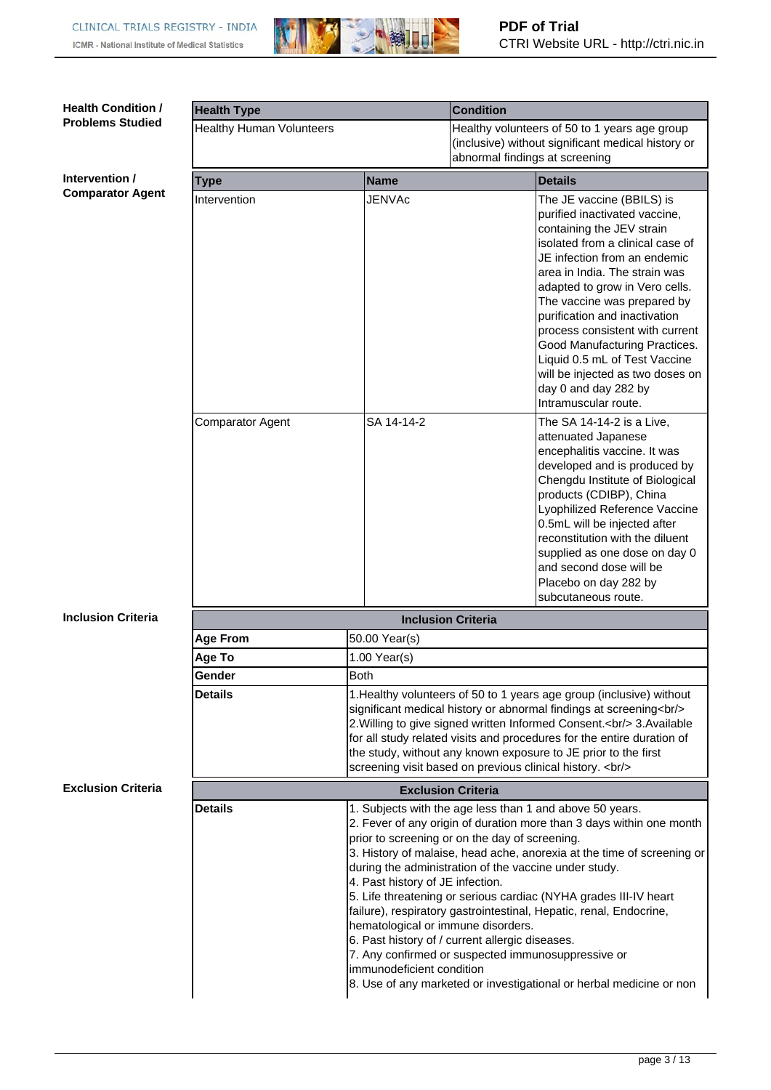

| <b>Health Condition /</b><br><b>Problems Studied</b> | <b>Health Type</b>              |                                                                                                     | <b>Condition</b>                                                                                                                                                                                                                                                                                                                                                                                                                                                                                                                                                                                                                                |  |  |  |  |
|------------------------------------------------------|---------------------------------|-----------------------------------------------------------------------------------------------------|-------------------------------------------------------------------------------------------------------------------------------------------------------------------------------------------------------------------------------------------------------------------------------------------------------------------------------------------------------------------------------------------------------------------------------------------------------------------------------------------------------------------------------------------------------------------------------------------------------------------------------------------------|--|--|--|--|
|                                                      | <b>Healthy Human Volunteers</b> |                                                                                                     | Healthy volunteers of 50 to 1 years age group                                                                                                                                                                                                                                                                                                                                                                                                                                                                                                                                                                                                   |  |  |  |  |
|                                                      |                                 |                                                                                                     | (inclusive) without significant medical history or                                                                                                                                                                                                                                                                                                                                                                                                                                                                                                                                                                                              |  |  |  |  |
|                                                      |                                 |                                                                                                     | abnormal findings at screening                                                                                                                                                                                                                                                                                                                                                                                                                                                                                                                                                                                                                  |  |  |  |  |
| Intervention /                                       | Type                            | <b>Name</b>                                                                                         | <b>Details</b>                                                                                                                                                                                                                                                                                                                                                                                                                                                                                                                                                                                                                                  |  |  |  |  |
| <b>Comparator Agent</b>                              | Intervention                    | JENVAc                                                                                              | The JE vaccine (BBILS) is<br>purified inactivated vaccine,<br>containing the JEV strain<br>isolated from a clinical case of<br>JE infection from an endemic<br>area in India. The strain was<br>adapted to grow in Vero cells.<br>The vaccine was prepared by<br>purification and inactivation<br>process consistent with current<br>Good Manufacturing Practices.<br>Liquid 0.5 mL of Test Vaccine<br>will be injected as two doses on<br>day 0 and day 282 by<br>Intramuscular route.                                                                                                                                                         |  |  |  |  |
|                                                      | <b>Comparator Agent</b>         | SA 14-14-2                                                                                          | The SA 14-14-2 is a Live,<br>attenuated Japanese<br>encephalitis vaccine. It was<br>developed and is produced by<br>Chengdu Institute of Biological<br>products (CDIBP), China<br>Lyophilized Reference Vaccine<br>0.5mL will be injected after<br>reconstitution with the diluent<br>supplied as one dose on day 0<br>and second dose will be<br>Placebo on day 282 by<br>subcutaneous route.                                                                                                                                                                                                                                                  |  |  |  |  |
| <b>Inclusion Criteria</b>                            |                                 |                                                                                                     | <b>Inclusion Criteria</b>                                                                                                                                                                                                                                                                                                                                                                                                                                                                                                                                                                                                                       |  |  |  |  |
|                                                      | <b>Age From</b>                 | 50.00 Year(s)                                                                                       |                                                                                                                                                                                                                                                                                                                                                                                                                                                                                                                                                                                                                                                 |  |  |  |  |
|                                                      | Age To                          | $1.00$ Year(s)                                                                                      |                                                                                                                                                                                                                                                                                                                                                                                                                                                                                                                                                                                                                                                 |  |  |  |  |
|                                                      | Gender                          | Both                                                                                                |                                                                                                                                                                                                                                                                                                                                                                                                                                                                                                                                                                                                                                                 |  |  |  |  |
|                                                      | <b>Details</b>                  |                                                                                                     | 1. Healthy volunteers of 50 to 1 years age group (inclusive) without<br>significant medical history or abnormal findings at screening<br>br/>><br>2. Willing to give signed written Informed Consent.<br>>t/> 3. Available<br>                                                                                                                                                                                                                                                                                                                                                                                                                  |  |  |  |  |
| <b>Exclusion Criteria</b>                            | <b>Exclusion Criteria</b>       |                                                                                                     |                                                                                                                                                                                                                                                                                                                                                                                                                                                                                                                                                                                                                                                 |  |  |  |  |
|                                                      | <b>Details</b>                  | 4. Past history of JE infection.<br>hematological or immune disorders.<br>immunodeficient condition | 1. Subjects with the age less than 1 and above 50 years.<br>2. Fever of any origin of duration more than 3 days within one month<br>prior to screening or on the day of screening.<br>3. History of malaise, head ache, anorexia at the time of screening or<br>during the administration of the vaccine under study.<br>5. Life threatening or serious cardiac (NYHA grades III-IV heart<br>failure), respiratory gastrointestinal, Hepatic, renal, Endocrine,<br>6. Past history of / current allergic diseases.<br>7. Any confirmed or suspected immunosuppressive or<br>8. Use of any marketed or investigational or herbal medicine or non |  |  |  |  |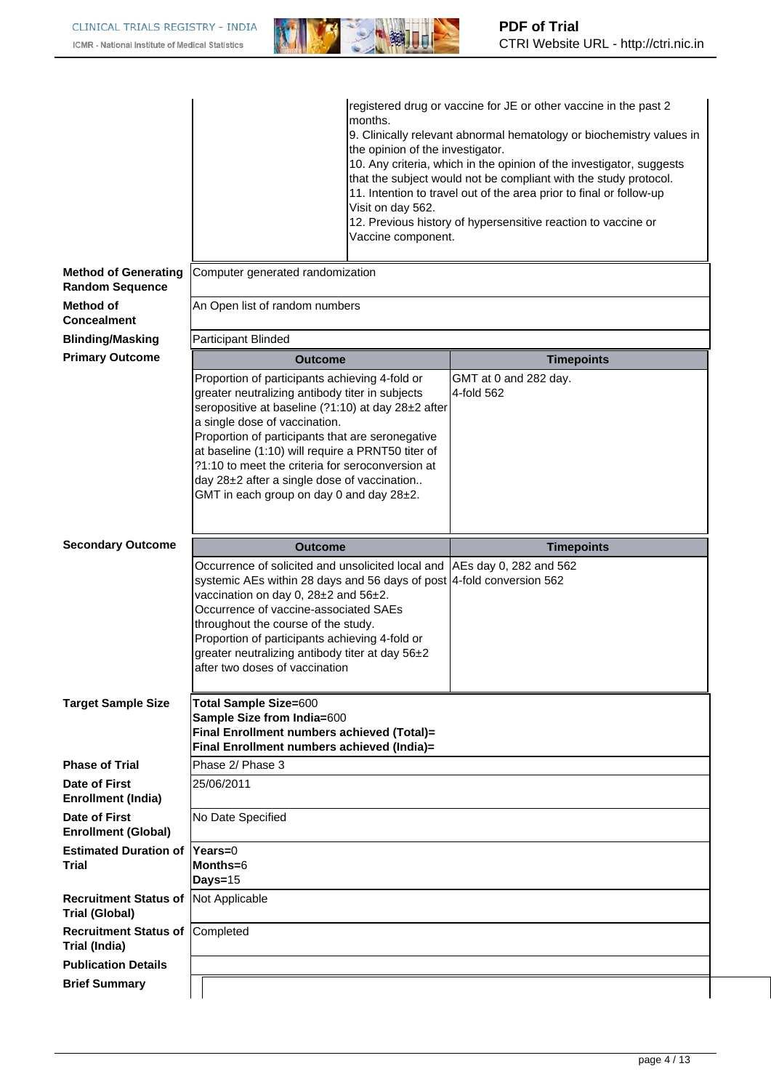

|                                                       |                                                                                                                                                                                                                                                                                                                                                                                                                                                                    | months.<br>the opinion of the investigator.<br>Visit on day 562.<br>Vaccine component. | registered drug or vaccine for JE or other vaccine in the past 2<br>9. Clinically relevant abnormal hematology or biochemistry values in<br>10. Any criteria, which in the opinion of the investigator, suggests<br>that the subject would not be compliant with the study protocol.<br>11. Intention to travel out of the area prior to final or follow-up<br>12. Previous history of hypersensitive reaction to vaccine or |
|-------------------------------------------------------|--------------------------------------------------------------------------------------------------------------------------------------------------------------------------------------------------------------------------------------------------------------------------------------------------------------------------------------------------------------------------------------------------------------------------------------------------------------------|----------------------------------------------------------------------------------------|------------------------------------------------------------------------------------------------------------------------------------------------------------------------------------------------------------------------------------------------------------------------------------------------------------------------------------------------------------------------------------------------------------------------------|
| <b>Method of Generating</b><br><b>Random Sequence</b> | Computer generated randomization                                                                                                                                                                                                                                                                                                                                                                                                                                   |                                                                                        |                                                                                                                                                                                                                                                                                                                                                                                                                              |
| Method of<br><b>Concealment</b>                       | An Open list of random numbers                                                                                                                                                                                                                                                                                                                                                                                                                                     |                                                                                        |                                                                                                                                                                                                                                                                                                                                                                                                                              |
| <b>Blinding/Masking</b>                               | Participant Blinded                                                                                                                                                                                                                                                                                                                                                                                                                                                |                                                                                        |                                                                                                                                                                                                                                                                                                                                                                                                                              |
| <b>Primary Outcome</b>                                | <b>Outcome</b>                                                                                                                                                                                                                                                                                                                                                                                                                                                     |                                                                                        | <b>Timepoints</b>                                                                                                                                                                                                                                                                                                                                                                                                            |
| <b>Secondary Outcome</b>                              | Proportion of participants achieving 4-fold or<br>greater neutralizing antibody titer in subjects<br>seropositive at baseline (?1:10) at day 28±2 after<br>a single dose of vaccination.<br>Proportion of participants that are seronegative<br>at baseline (1:10) will require a PRNT50 titer of<br>?1:10 to meet the criteria for seroconversion at<br>day 28±2 after a single dose of vaccination<br>GMT in each group on day 0 and day 28±2.<br><b>Outcome</b> |                                                                                        | GMT at 0 and 282 day.<br>4-fold 562<br><b>Timepoints</b>                                                                                                                                                                                                                                                                                                                                                                     |
|                                                       | Occurrence of solicited and unsolicited local and<br>systemic AEs within 28 days and 56 days of post   4-fold conversion 562<br>vaccination on day 0, 28±2 and 56±2.<br>Occurrence of vaccine-associated SAEs<br>throughout the course of the study.<br>Proportion of participants achieving 4-fold or<br>greater neutralizing antibody titer at day 56±2<br>after two doses of vaccination                                                                        |                                                                                        | AEs day 0, 282 and 562                                                                                                                                                                                                                                                                                                                                                                                                       |
| <b>Target Sample Size</b>                             | <b>Total Sample Size=600</b><br>Sample Size from India=600<br>Final Enrollment numbers achieved (Total)=<br>Final Enrollment numbers achieved (India)=                                                                                                                                                                                                                                                                                                             |                                                                                        |                                                                                                                                                                                                                                                                                                                                                                                                                              |
| <b>Phase of Trial</b>                                 | Phase 2/ Phase 3                                                                                                                                                                                                                                                                                                                                                                                                                                                   |                                                                                        |                                                                                                                                                                                                                                                                                                                                                                                                                              |
| Date of First<br><b>Enrollment (India)</b>            | 25/06/2011                                                                                                                                                                                                                                                                                                                                                                                                                                                         |                                                                                        |                                                                                                                                                                                                                                                                                                                                                                                                                              |
| Date of First<br><b>Enrollment (Global)</b>           | No Date Specified                                                                                                                                                                                                                                                                                                                                                                                                                                                  |                                                                                        |                                                                                                                                                                                                                                                                                                                                                                                                                              |
| <b>Estimated Duration of</b><br>Trial                 | $Years=0$<br>Months=6<br>Days=15                                                                                                                                                                                                                                                                                                                                                                                                                                   |                                                                                        |                                                                                                                                                                                                                                                                                                                                                                                                                              |
| <b>Recruitment Status of</b><br><b>Trial (Global)</b> | Not Applicable                                                                                                                                                                                                                                                                                                                                                                                                                                                     |                                                                                        |                                                                                                                                                                                                                                                                                                                                                                                                                              |
| <b>Recruitment Status of</b><br>Trial (India)         | Completed                                                                                                                                                                                                                                                                                                                                                                                                                                                          |                                                                                        |                                                                                                                                                                                                                                                                                                                                                                                                                              |
| <b>Publication Details</b>                            |                                                                                                                                                                                                                                                                                                                                                                                                                                                                    |                                                                                        |                                                                                                                                                                                                                                                                                                                                                                                                                              |
| <b>Brief Summary</b>                                  |                                                                                                                                                                                                                                                                                                                                                                                                                                                                    |                                                                                        |                                                                                                                                                                                                                                                                                                                                                                                                                              |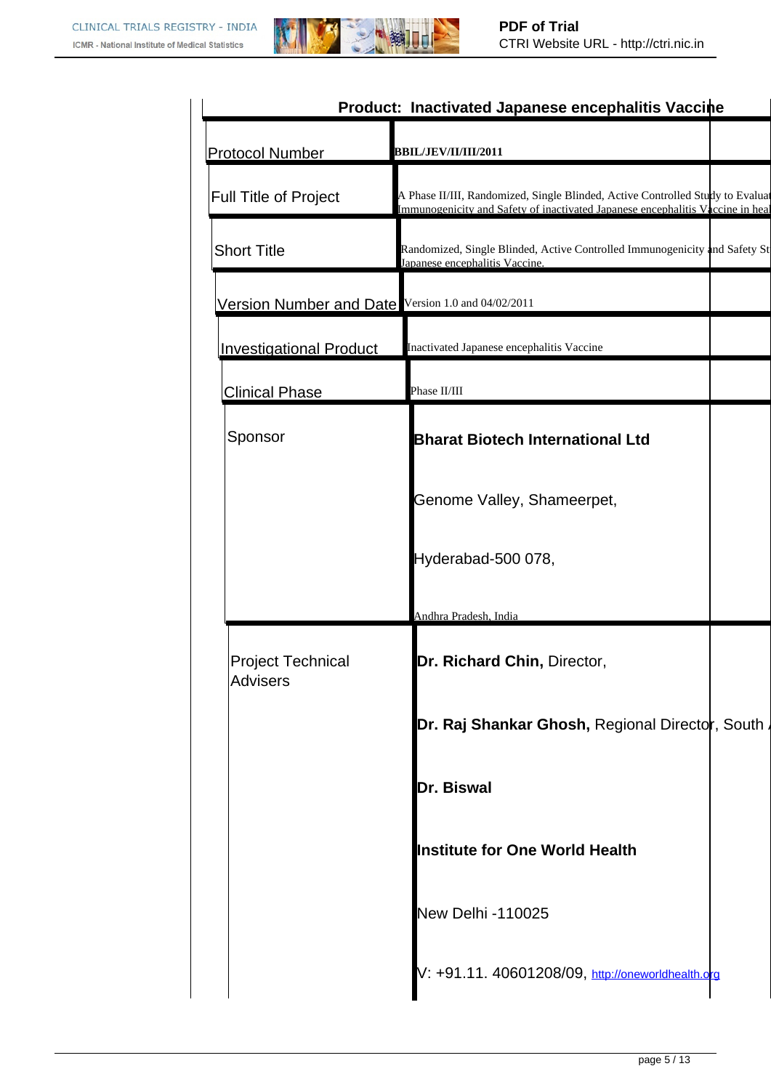

|                                                    | Product: Inactivated Japanese encephalitis Vaccine                                                                                                               |
|----------------------------------------------------|------------------------------------------------------------------------------------------------------------------------------------------------------------------|
| <b>Protocol Number</b>                             | <b>BBIL/JEV/II/III/2011</b>                                                                                                                                      |
| Full Title of Project                              | A Phase II/III, Randomized, Single Blinded, Active Controlled Study to Evaluat<br>Immunogenicity and Safety of inactivated Japanese encephalitis Vaccine in heal |
| <b>Short Title</b>                                 | Randomized, Single Blinded, Active Controlled Immunogenicity and Safety St<br>Japanese encephalitis Vaccine.                                                     |
| Version Number and Date Version 1.0 and 04/02/2011 |                                                                                                                                                                  |
| <b>Investigational Product</b>                     | Inactivated Japanese encephalitis Vaccine                                                                                                                        |
| <b>Clinical Phase</b>                              | Phase II/III                                                                                                                                                     |
| Sponsor                                            | <b>Bharat Biotech International Ltd</b>                                                                                                                          |
|                                                    | Genome Valley, Shameerpet,                                                                                                                                       |
|                                                    | Hyderabad-500 078,                                                                                                                                               |
|                                                    | Andhra Pradesh, India                                                                                                                                            |
| <b>Project Technical</b><br><b>Advisers</b>        | Dr. Richard Chin, Director,                                                                                                                                      |
|                                                    | <b>Dr. Raj Shankar Ghosh,</b> Regional Directo <b>r</b> , South <i>i</i>                                                                                         |
|                                                    | Dr. Biswal                                                                                                                                                       |
|                                                    | <b>Institute for One World Health</b>                                                                                                                            |
|                                                    | <b>New Delhi -110025</b>                                                                                                                                         |
|                                                    | V: +91.11. 40601208/09, http://oneworldhealth.org                                                                                                                |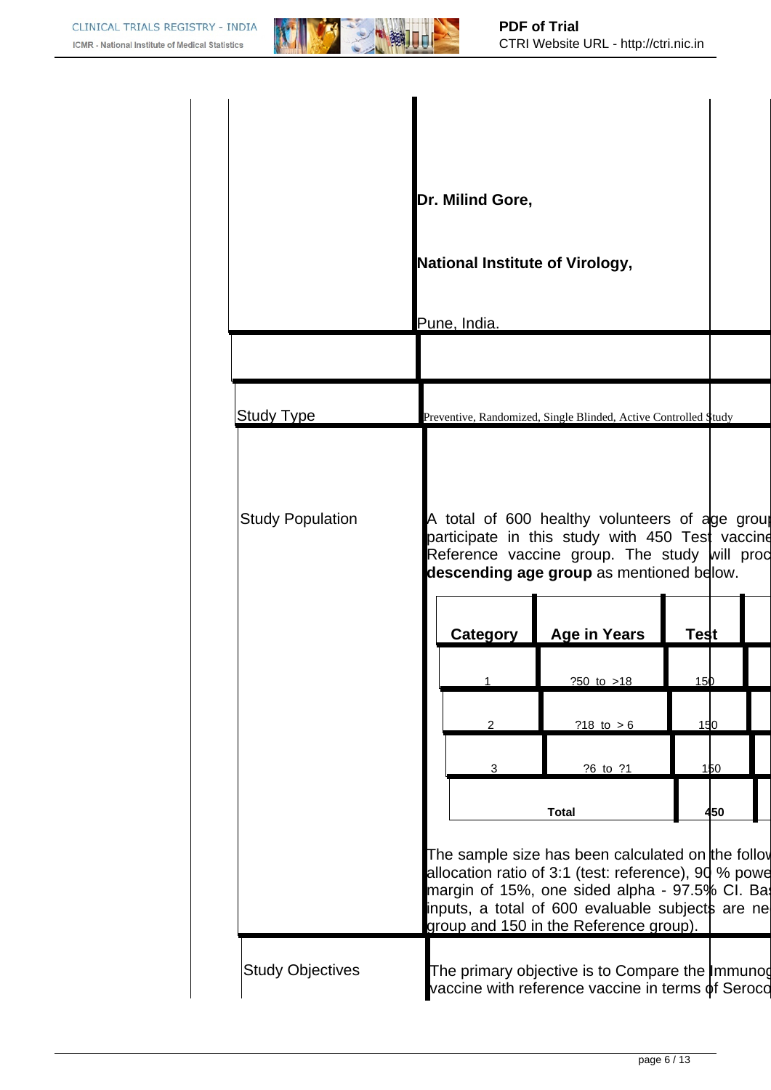

|                         | Dr. Milind Gore,                       |                                                                                                                                                                                                                                                           |             |  |
|-------------------------|----------------------------------------|-----------------------------------------------------------------------------------------------------------------------------------------------------------------------------------------------------------------------------------------------------------|-------------|--|
|                         | <b>National Institute of Virology,</b> |                                                                                                                                                                                                                                                           |             |  |
|                         | Pune, India.                           |                                                                                                                                                                                                                                                           |             |  |
|                         |                                        |                                                                                                                                                                                                                                                           |             |  |
| <b>Study Type</b>       |                                        | Preventive, Randomized, Single Blinded, Active Controlled \$tudy                                                                                                                                                                                          |             |  |
| <b>Study Population</b> | <b>Category</b>                        | A total of 600 healthy volunteers of age group<br>participate in this study with 450 Test vaccine<br>Reference vaccine group. The study will proc<br>descending age group as mentioned below.<br><b>Age in Years</b>                                      | <b>Test</b> |  |
|                         | $\mathbf{1}$                           | $?50$ to $>18$                                                                                                                                                                                                                                            | <u>150</u>  |  |
|                         | 2                                      | ?18 to $> 6$                                                                                                                                                                                                                                              | 150         |  |
|                         | 3                                      | ?6 to ?1                                                                                                                                                                                                                                                  | 150         |  |
|                         |                                        | <b>Total</b>                                                                                                                                                                                                                                              | 450         |  |
|                         |                                        | The sample size has been calculated on the follov<br>allocation ratio of 3:1 (test: reference), 90 % powe<br>margin of 15%, one sided alpha - 97.5% CI. Bas<br>inputs, a total of 600 evaluable subjects are ne<br>group and 150 in the Reference group). |             |  |
| <b>Study Objectives</b> |                                        | The primary objective is to Compare the Immunog<br>vaccine with reference vaccine in terms of Seroco                                                                                                                                                      |             |  |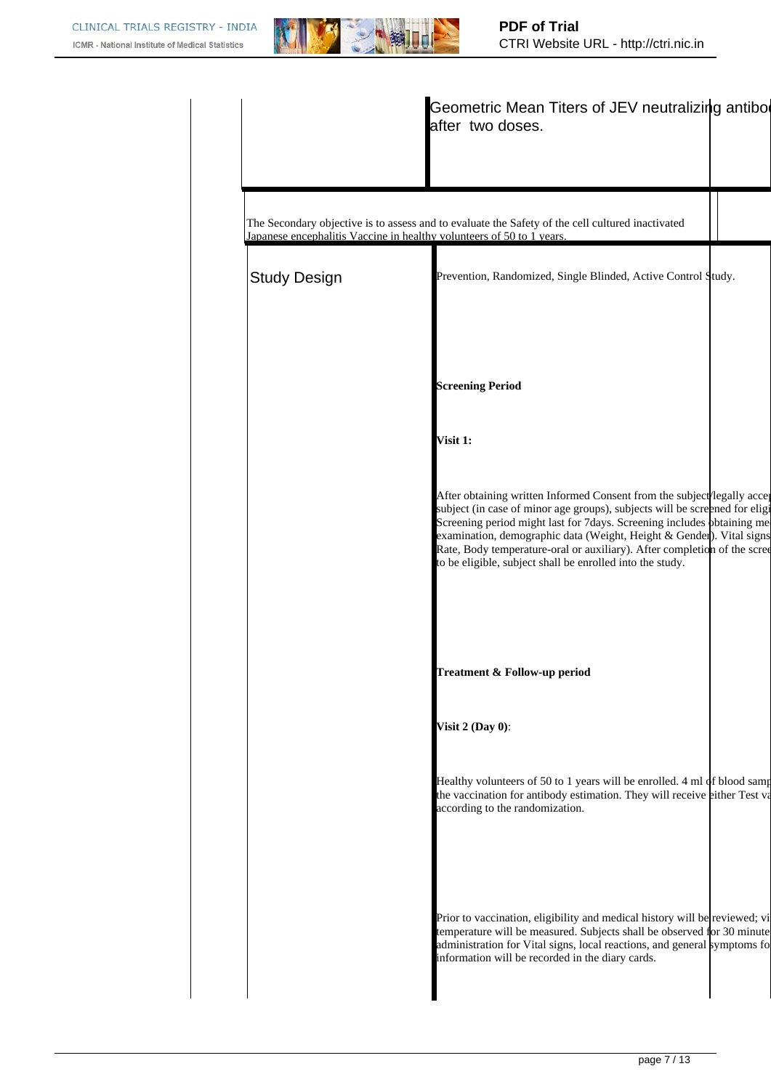

|                     | Geometric Mean Titers of JEV neutralizing antibor<br>after two doses.                                                                                                                                                                                                                                                                                                                                                                             |
|---------------------|---------------------------------------------------------------------------------------------------------------------------------------------------------------------------------------------------------------------------------------------------------------------------------------------------------------------------------------------------------------------------------------------------------------------------------------------------|
|                     | The Secondary objective is to assess and to evaluate the Safety of the cell cultured inactivated<br>Japanese encephalitis Vaccine in healthy volunteers of 50 to 1 years.                                                                                                                                                                                                                                                                         |
| <b>Study Design</b> | Prevention, Randomized, Single Blinded, Active Control Study.                                                                                                                                                                                                                                                                                                                                                                                     |
|                     | <b>Screening Period</b>                                                                                                                                                                                                                                                                                                                                                                                                                           |
|                     | Visit 1:                                                                                                                                                                                                                                                                                                                                                                                                                                          |
|                     | After obtaining written Informed Consent from the subject legally accept<br>subject (in case of minor age groups), subjects will be screened for eligi<br>Screening period might last for 7days. Screening includes bbtaining me<br>examination, demographic data (Weight, Height & Gender). Vital signs<br>Rate, Body temperature-oral or auxiliary). After completion of the scree<br>to be eligible, subject shall be enrolled into the study. |
|                     | Treatment & Follow-up period                                                                                                                                                                                                                                                                                                                                                                                                                      |
|                     | Visit $2$ (Day 0):                                                                                                                                                                                                                                                                                                                                                                                                                                |
|                     | Healthy volunteers of 50 to 1 years will be enrolled. 4 ml of blood samp<br>the vaccination for antibody estimation. They will receive either Test va<br>according to the randomization.                                                                                                                                                                                                                                                          |
|                     | Prior to vaccination, eligibility and medical history will be reviewed; vi<br>temperature will be measured. Subjects shall be observed for 30 minute<br>administration for Vital signs, local reactions, and general symptoms for<br>information will be recorded in the diary cards.                                                                                                                                                             |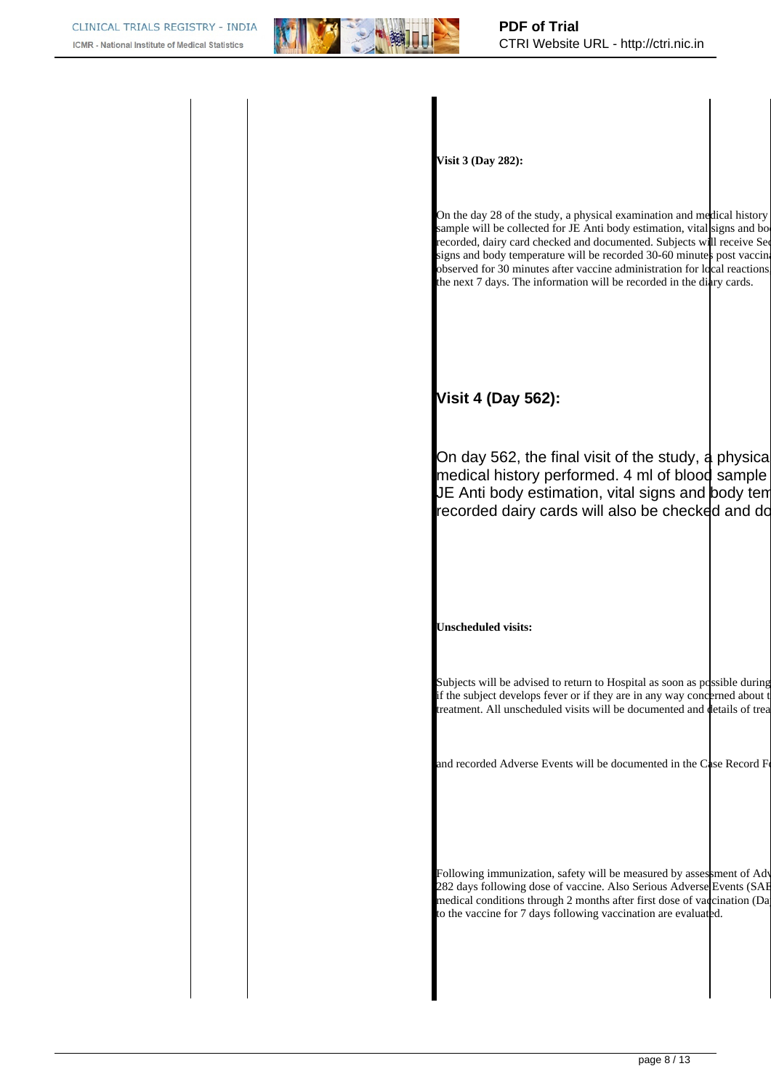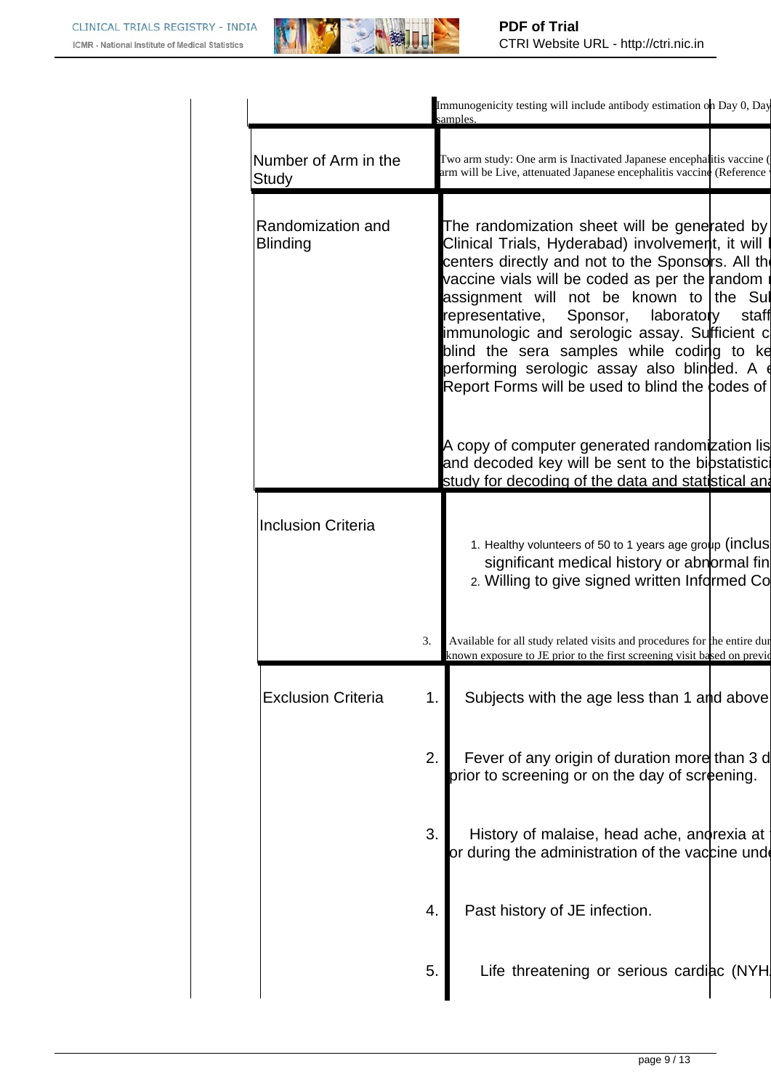

|                                      |    | Immunogenicity testing will include antibody estimation on Day 0, Day<br>samples.                                                                                                                                                                                                                                                                                                                                                                                                           |       |
|--------------------------------------|----|---------------------------------------------------------------------------------------------------------------------------------------------------------------------------------------------------------------------------------------------------------------------------------------------------------------------------------------------------------------------------------------------------------------------------------------------------------------------------------------------|-------|
| Number of Arm in the<br>Study        |    | Two arm study: One arm is Inactivated Japanese encephalitis vaccine (<br>arm will be Live, attenuated Japanese encephalitis vaccine (Reference                                                                                                                                                                                                                                                                                                                                              |       |
| Randomization and<br><b>Blinding</b> |    | The randomization sheet will be generated by<br>Clinical Trials, Hyderabad) involvement, it will l<br>centers directly and not to the Sponsors. All the<br>vaccine vials will be coded as per the random<br>assignment will not be known to the Sul<br>representative, Sponsor, laboratory<br>immunologic and serologic assay. Surficient c<br>blind the sera samples while coding to ke<br>performing serologic assay also blinded. A d<br>Report Forms will be used to blind the codes of | staff |
|                                      |    | A copy of computer generated randomization lis<br>and decoded key will be sent to the bibstatistici<br>study for decoding of the data and statistical and                                                                                                                                                                                                                                                                                                                                   |       |
| <b>Inclusion Criteria</b>            |    | 1. Healthy volunteers of 50 to 1 years age group (inclus<br>significant medical history or abnormal fin<br>2. Willing to give signed written Informed Co                                                                                                                                                                                                                                                                                                                                    |       |
|                                      | 3. | Available for all study related visits and procedures for the entire dur<br>known exposure to JE prior to the first screening visit based on previd                                                                                                                                                                                                                                                                                                                                         |       |
| <b>Exclusion Criteria</b>            | 1. | Subjects with the age less than 1 and above                                                                                                                                                                                                                                                                                                                                                                                                                                                 |       |
|                                      | 2. | Fever of any origin of duration more than 3 d<br>prior to screening or on the day of screening.                                                                                                                                                                                                                                                                                                                                                                                             |       |
|                                      | 3. | History of malaise, head ache, andrexia at<br>or during the administration of the vaccine unde                                                                                                                                                                                                                                                                                                                                                                                              |       |
|                                      | 4. | Past history of JE infection.                                                                                                                                                                                                                                                                                                                                                                                                                                                               |       |
|                                      | 5. | Life threatening or serious cardiac (NYH)                                                                                                                                                                                                                                                                                                                                                                                                                                                   |       |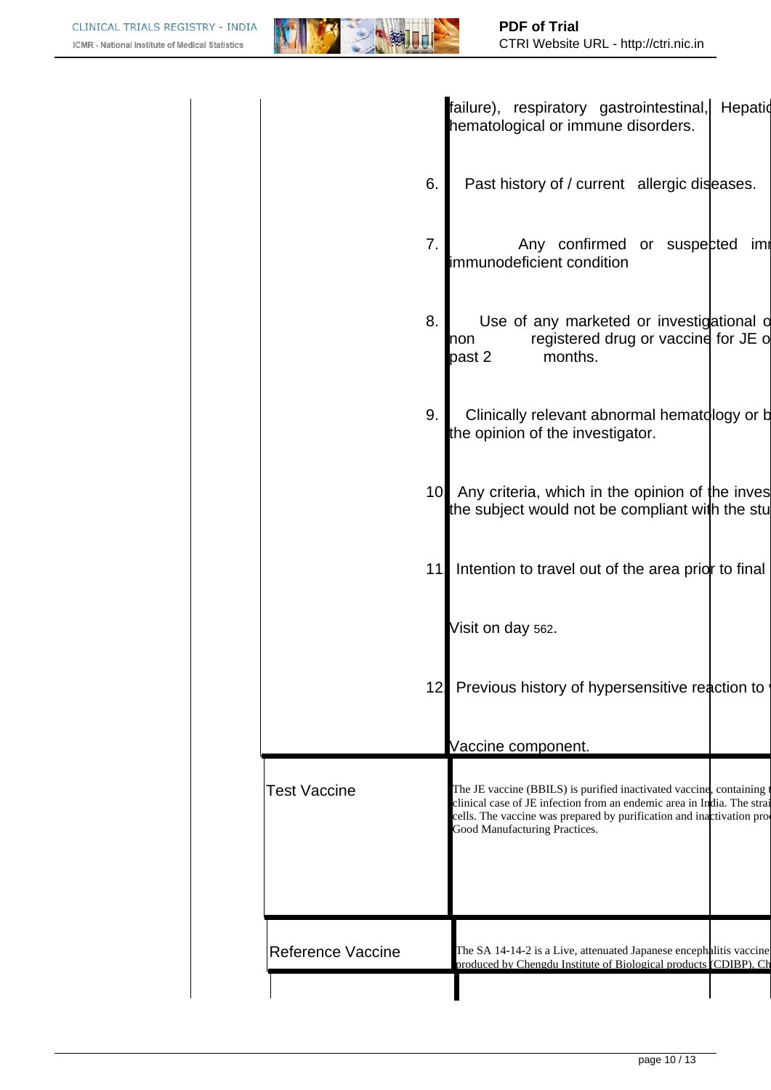

|                          | failure), respiratory gastrointestinal,<br>Hepatid<br>hematological or immune disorders.                                                                                                                                                                |
|--------------------------|---------------------------------------------------------------------------------------------------------------------------------------------------------------------------------------------------------------------------------------------------------|
| 6.                       | Past history of / current allergic diseases.                                                                                                                                                                                                            |
| 7.                       | Any confirmed or suspected<br>imi<br>immunodeficient condition                                                                                                                                                                                          |
| 8.                       | Use of any marketed or investigational of<br>registered drug or vaccine for JE of<br>non<br>months.<br>past 2                                                                                                                                           |
| 9.                       | Clinically relevant abnormal hematology or b<br>the opinion of the investigator.                                                                                                                                                                        |
|                          | 10 Any criteria, which in the opinion of the inves<br>the subject would not be compliant with the stu                                                                                                                                                   |
| 11                       | Intention to travel out of the area prior to final                                                                                                                                                                                                      |
|                          | Visit on day 562.                                                                                                                                                                                                                                       |
|                          | 12 Previous history of hypersensitive reaction to                                                                                                                                                                                                       |
|                          | Vaccine component.                                                                                                                                                                                                                                      |
| <b>Test Vaccine</b>      | The JE vaccine (BBILS) is purified inactivated vaccine, containing t<br>clinical case of JE infection from an endemic area in India. The strai<br>cells. The vaccine was prepared by purification and inactivation pro<br>Good Manufacturing Practices. |
|                          |                                                                                                                                                                                                                                                         |
| <b>Reference Vaccine</b> | The SA 14-14-2 is a Live, attenuated Japanese encephalitis vaccine<br>produced by Chengdu Institute of Biological products (CDIBP), Ch                                                                                                                  |
|                          |                                                                                                                                                                                                                                                         |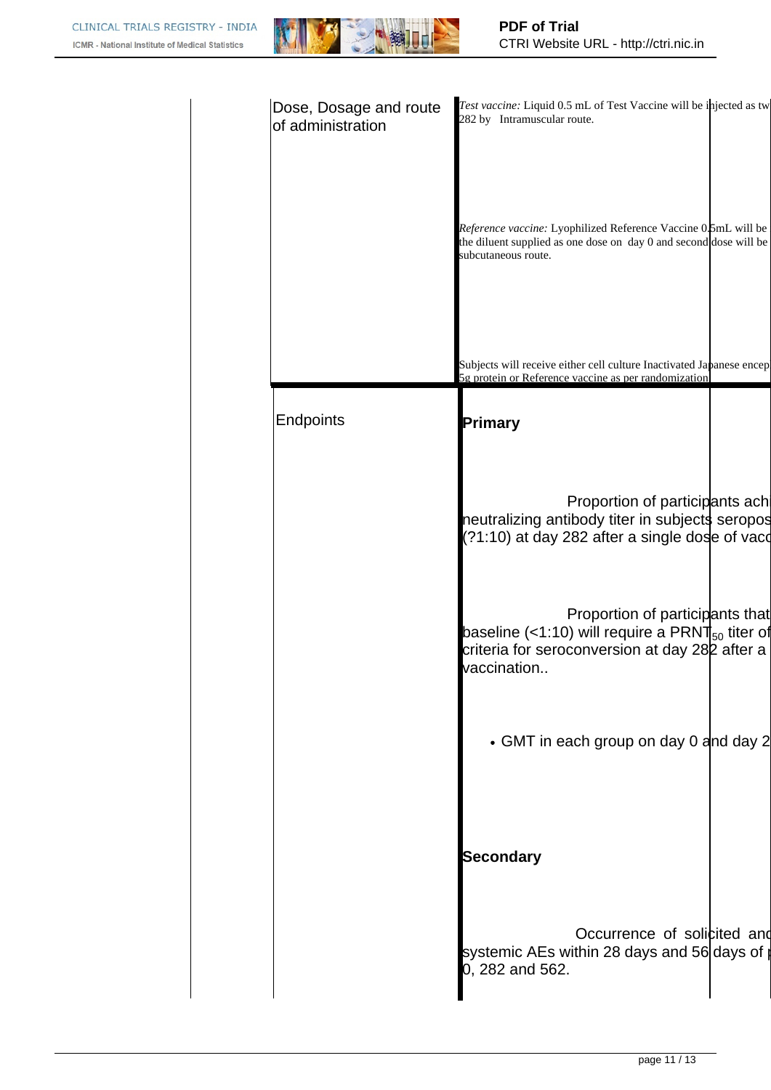

| Dose, Dosage and route<br>of administration | Test vaccine: Liquid 0.5 mL of Test Vaccine will be injected as tw<br>282 by Intramuscular route.                                                                     |
|---------------------------------------------|-----------------------------------------------------------------------------------------------------------------------------------------------------------------------|
|                                             | Reference vaccine: Lyophilized Reference Vaccine 0.5mL will be<br>the diluent supplied as one dose on day 0 and second dose will be<br>subcutaneous route.            |
|                                             | Subjects will receive either cell culture Inactivated Japanese encep<br>5g protein or Reference vaccine as per randomization.                                         |
| Endpoints                                   | Primary                                                                                                                                                               |
|                                             | Proportion of participants ach<br>neutralizing antibody titer in subjects seropos<br>(?1:10) at day 282 after a single dose of vaco                                   |
|                                             | Proportion of participants that<br>baseline (<1:10) will require a PRNT $_{50}$ titer of<br>criteria for seroconversion at day 28 <sub>2</sub> after a<br>vaccination |
|                                             | • GMT in each group on day 0 and day 2                                                                                                                                |
|                                             | <b>Secondary</b>                                                                                                                                                      |
|                                             | Occurrence of solicited and<br>systemic AEs within 28 days and 56 days of p<br>0, 282 and 562.                                                                        |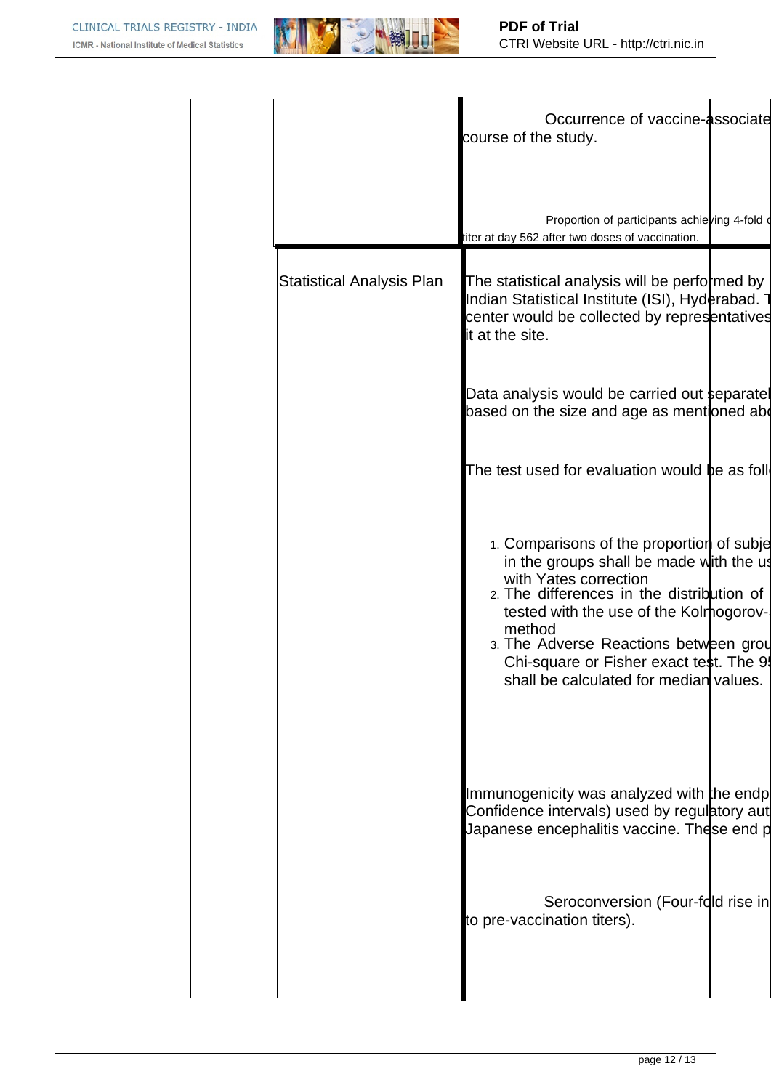

|                                  | Occurrence of vaccine-associate<br>course of the study.                                                                                                                                                                                                                                                                                     |  |
|----------------------------------|---------------------------------------------------------------------------------------------------------------------------------------------------------------------------------------------------------------------------------------------------------------------------------------------------------------------------------------------|--|
|                                  | Proportion of participants achieving 4-fold d<br>titer at day 562 after two doses of vaccination.                                                                                                                                                                                                                                           |  |
| <b>Statistical Analysis Plan</b> | The statistical analysis will be performed by<br>Indian Statistical Institute (ISI), Hyderabad. T<br>center would be collected by representatives<br>it at the site.                                                                                                                                                                        |  |
|                                  | Data analysis would be carried out separatel<br>based on the size and age as mentioned abd                                                                                                                                                                                                                                                  |  |
|                                  | The test used for evaluation would be as foll                                                                                                                                                                                                                                                                                               |  |
|                                  | 1. Comparisons of the proportion of subje<br>in the groups shall be made with the us<br>with Yates correction<br>2. The differences in the distribution of<br>tested with the use of the Kolmogorov-<br>method<br>3. The Adverse Reactions between grou<br>Chi-square or Fisher exact test. The 9<br>shall be calculated for median values. |  |
|                                  | Immunogenicity was analyzed with the endp<br>Confidence intervals) used by regulatory aut<br>Japanese encephalitis vaccine. These end p                                                                                                                                                                                                     |  |
|                                  | Seroconversion (Four-fold rise in<br>to pre-vaccination titers).                                                                                                                                                                                                                                                                            |  |
|                                  |                                                                                                                                                                                                                                                                                                                                             |  |